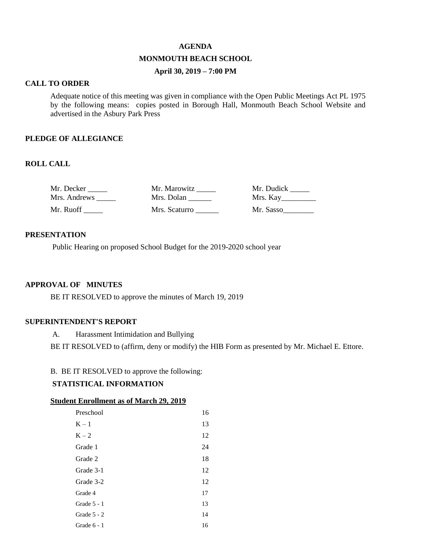#### **AGENDA**

## **MONMOUTH BEACH SCHOOL**

# **April 30, 2019 – 7:00 PM**

### **CALL TO ORDER**

Adequate notice of this meeting was given in compliance with the Open Public Meetings Act PL 1975 by the following means: copies posted in Borough Hall, Monmouth Beach School Website and advertised in the Asbury Park Press

#### **PLEDGE OF ALLEGIANCE**

## **ROLL CALL**

| Mr. Decker   | Mr. Marowitz  | Mr. Dudick |
|--------------|---------------|------------|
| Mrs. Andrews | Mrs. Dolan    | Mrs. Kay   |
| Mr. Ruoff    | Mrs. Scaturro | Mr. Sasso  |

### **PRESENTATION**

Public Hearing on proposed School Budget for the 2019-2020 school year

### **APPROVAL OF MINUTES**

BE IT RESOLVED to approve the minutes of March 19, 2019

## **SUPERINTENDENT'S REPORT**

A. Harassment Intimidation and Bullying

BE IT RESOLVED to (affirm, deny or modify) the HIB Form as presented by Mr. Michael E. Ettore.

### B. BE IT RESOLVED to approve the following:

## **STATISTICAL INFORMATION**

### **Student Enrollment as of March 29, 2019**

| Preschool     | 16 |
|---------------|----|
| $K - 1$       | 13 |
| $K - 2$       | 12 |
| Grade 1       | 24 |
| Grade 2       | 18 |
| Grade 3-1     | 12 |
| Grade 3-2     | 12 |
| Grade 4       | 17 |
| Grade $5 - 1$ | 13 |
| Grade $5 - 2$ | 14 |
| Grade $6 - 1$ | 16 |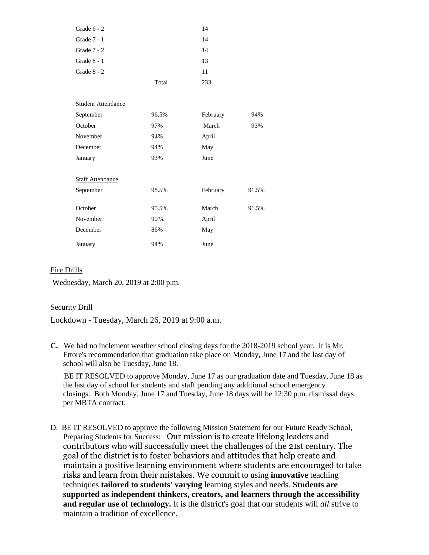| Grade $6 - 2$             |       | 14       |       |
|---------------------------|-------|----------|-------|
| Grade 7 - 1               |       | 14       |       |
| Grade $7 - 2$             |       | 14       |       |
| Grade 8 - 1               |       | 13       |       |
| Grade 8 - 2               |       | 11       |       |
|                           | Total | 233      |       |
| <b>Student Attendance</b> |       |          |       |
| September                 | 96.5% | February | 94%   |
| October                   | 97%   | March    | 93%   |
| November                  | 94%   | April    |       |
| December                  | 94%   | May      |       |
| January                   | 93%   | June     |       |
| <b>Staff Attendance</b>   |       |          |       |
| September                 | 98.5% | February | 91.5% |
| October                   | 95.5% | March    | 91.5% |
| November                  | 90 %  | April    |       |
| December                  | 86%   | May      |       |
| January                   | 94%   | June     |       |

## Fire Drills

Wednesday, March 20, 2019 at 2:00 p.m.

## Security Drill

Lockdown - Tuesday, March 26, 2019 at 9:00 a.m.

**C.** We had no inclement weather school closing days for the 2018-2019 school year. It is Mr. Ettore's recommendation that graduation take place on Monday, June 17 and the last day of school will also be Tuesday, June 18.

 BE IT RESOLVED to approve Monday, June 17 as our graduation date and Tuesday, June 18 as the last day of school for students and staff pending any additional school emergency closings. Both Monday, June 17 and Tuesday, June 18 days will be 12:30 p.m. dismissal days per MBTA contract.

D. BE IT RESOLVED to approve the following Mission Statement for our Future Ready School, Preparing Students for Success: Our mission is to create lifelong leaders and contributors who will successfully meet the challenges of the 21st century. The goal of the district is to foster behaviors and attitudes that help create and maintain a positive learning environment where students are encouraged to take risks and learn from their mistakes. We commit to using **innovative** teaching techniques **tailored to students' varying** learning styles and needs. **Students are supported as independent thinkers, creators, and learners through the accessibility and regular use of technology.** It is the district's goal that our students will *all* strive to maintain a tradition of excellence.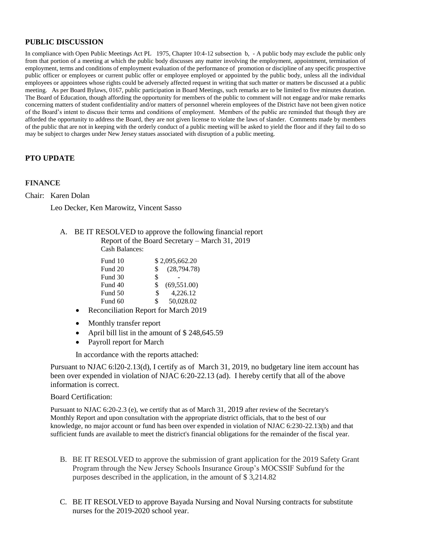### **PUBLIC DISCUSSION**

In compliance with Open Public Meetings Act PL 1975, Chapter 10:4-12 subsection b, - A public body may exclude the public only from that portion of a meeting at which the public body discusses any matter involving the employment, appointment, termination of employment, terms and conditions of employment evaluation of the performance of promotion or discipline of any specific prospective public officer or employees or current public offer or employee employed or appointed by the public body, unless all the individual employees or appointees whose rights could be adversely affected request in writing that such matter or matters be discussed at a public meeting. As per Board Bylaws, 0167, public participation in Board Meetings, such remarks are to be limited to five minutes duration. The Board of Education, though affording the opportunity for members of the public to comment will not engage and/or make remarks concerning matters of student confidentiality and/or matters of personnel wherein employees of the District have not been given notice of the Board's intent to discuss their terms and conditions of employment. Members of the public are reminded that though they are afforded the opportunity to address the Board, they are not given license to violate the laws of slander. Comments made by members of the public that are not in keeping with the orderly conduct of a public meeting will be asked to yield the floor and if they fail to do so may be subject to charges under New Jersey statues associated with disruption of a public meeting.

## **PTO UPDATE**

#### **FINANCE**

Chair: Karen Dolan

Leo Decker, Ken Marowitz, Vincent Sasso

A. BE IT RESOLVED to approve the following financial report Report of the Board Secretary – March 31, 2019

Cash Balances:

|     | \$2,095,662.20 |
|-----|----------------|
| \$. | (28, 794.78)   |
| \$  |                |
| \$. | (69, 551.00)   |
| \$  | 4.226.12       |
| \$  | 50,028.02      |
|     |                |

- Reconciliation Report for March 2019
- Monthly transfer report
- April bill list in the amount of \$ 248,645.59
- Payroll report for March

In accordance with the reports attached:

Pursuant to NJAC 6:l20-2.13(d), I certify as of March 31, 2019, no budgetary line item account has been over expended in violation of NJAC 6:20-22.13 (ad). I hereby certify that all of the above information is correct.

#### Board Certification:

Pursuant to NJAC 6:20-2.3 (e), we certify that as of March 31, 2019 after review of the Secretary's Monthly Report and upon consultation with the appropriate district officials, that to the best of our knowledge, no major account or fund has been over expended in violation of NJAC 6:230-22.13(b) and that sufficient funds are available to meet the district's financial obligations for the remainder of the fiscal year.

- B. BE IT RESOLVED to approve the submission of grant application for the 2019 Safety Grant Program through the New Jersey Schools Insurance Group's MOCSSIF Subfund for the purposes described in the application, in the amount of \$ 3,214.82
- C. BE IT RESOLVED to approve Bayada Nursing and Noval Nursing contracts for substitute nurses for the 2019-2020 school year.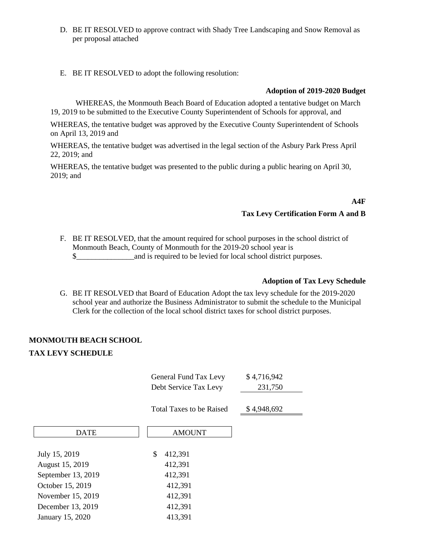- D. BE IT RESOLVED to approve contract with Shady Tree Landscaping and Snow Removal as per proposal attached
- E. BE IT RESOLVED to adopt the following resolution:

### **Adoption of 2019-2020 Budget**

WHEREAS, the Monmouth Beach Board of Education adopted a tentative budget on March 19, 2019 to be submitted to the Executive County Superintendent of Schools for approval, and

WHEREAS, the tentative budget was approved by the Executive County Superintendent of Schools on April 13, 2019 and

WHEREAS, the tentative budget was advertised in the legal section of the Asbury Park Press April 22, 2019; and

WHEREAS, the tentative budget was presented to the public during a public hearing on April 30, 2019; and

**A4F**

## **Tax Levy Certification Form A and B**

F. BE IT RESOLVED, that the amount required for school purposes in the school district of Monmouth Beach, County of Monmouth for the 2019-20 school year is  $\$\$  and is required to be levied for local school district purposes.

## **Adoption of Tax Levy Schedule**

G. BE IT RESOLVED that Board of Education Adopt the tax levy schedule for the 2019-2020 school year and authorize the Business Administrator to submit the schedule to the Municipal Clerk for the collection of the local school district taxes for school district purposes.

## **MONMOUTH BEACH SCHOOL**

#### **TAX LEVY SCHEDULE**

|                    | General Fund Tax Levy<br>Debt Service Tax Levy | \$4,716,942<br>231,750 |
|--------------------|------------------------------------------------|------------------------|
|                    | Total Taxes to be Raised                       | \$4,948,692            |
| <b>DATE</b>        | <b>AMOUNT</b>                                  |                        |
| July 15, 2019      | \$<br>412,391                                  |                        |
| August 15, 2019    | 412,391                                        |                        |
| September 13, 2019 | 412,391                                        |                        |
| October 15, 2019   | 412,391                                        |                        |
| November 15, 2019  | 412,391                                        |                        |
| December 13, 2019  | 412,391                                        |                        |
| January 15, 2020   | 413,391                                        |                        |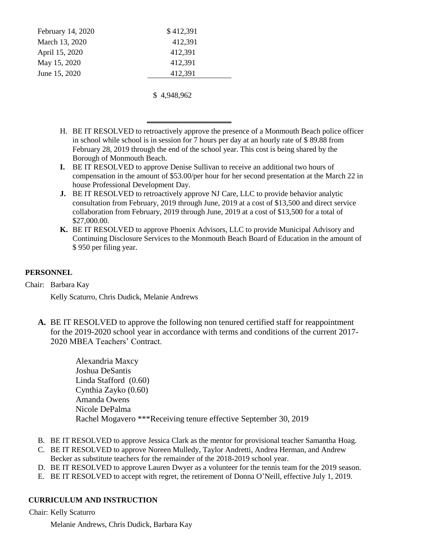| February 14, 2020 | \$412,391 |
|-------------------|-----------|
| March 13, 2020    | 412,391   |
| April 15, 2020    | 412,391   |
| May 15, 2020      | 412,391   |
| June 15, 2020     | 412,391   |
|                   |           |

\$ 4,948,962

- H. BE IT RESOLVED to retroactively approve the presence of a Monmouth Beach police officer in school while school is in session for 7 hours per day at an hourly rate of \$ 89.88 from February 28, 2019 through the end of the school year. This cost is being shared by the Borough of Monmouth Beach.
- **I.** BE IT RESOLVED to approve Denise Sullivan to receive an additional two hours of compensation in the amount of \$53.00/per hour for her second presentation at the March 22 in house Professional Development Day.
- **J.** BE IT RESOLVED to retroactively approve NJ Care, LLC to provide behavior analytic consultation from February, 2019 through June, 2019 at a cost of \$13,500 and direct service collaboration from February, 2019 through June, 2019 at a cost of \$13,500 for a total of \$27,000.00.
- **K.** BE IT RESOLVED to approve Phoenix Advisors, LLC to provide Municipal Advisory and Continuing Disclosure Services to the Monmouth Beach Board of Education in the amount of \$ 950 per filing year.

# **PERSONNEL**

Chair: Barbara Kay

Kelly Scaturro, Chris Dudick, Melanie Andrews

**A.** BE IT RESOLVED to approve the following non tenured certified staff for reappointment for the 2019-2020 school year in accordance with terms and conditions of the current 2017- 2020 MBEA Teachers' Contract.

> Alexandria Maxcy Joshua DeSantis Linda Stafford (0.60) Cynthia Zayko (0.60) Amanda Owens Nicole DePalma Rachel Mogavero \*\*\*Receiving tenure effective September 30, 2019

- B. BE IT RESOLVED to approve Jessica Clark as the mentor for provisional teacher Samantha Hoag.
- C. BE IT RESOLVED to approve Noreen Mulledy, Taylor Andretti, Andrea Herman, and Andrew Becker as substitute teachers for the remainder of the 2018-2019 school year.
- D. BE IT RESOLVED to approve Lauren Dwyer as a volunteer for the tennis team for the 2019 season.
- E. BE IT RESOLVED to accept with regret, the retirement of Donna O'Neill, effective July 1, 2019.

## **CURRICULUM AND INSTRUCTION**

Chair: Kelly Scaturro

Melanie Andrews, Chris Dudick, Barbara Kay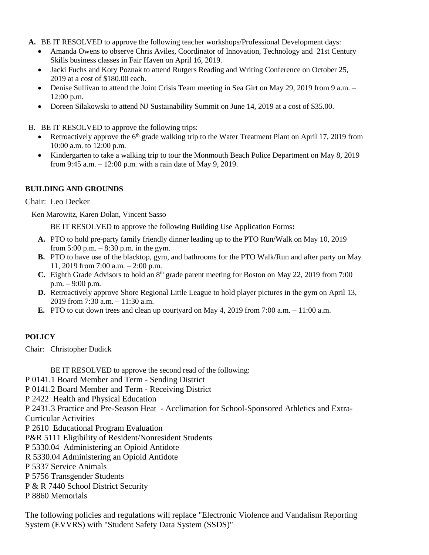- **A.** BE IT RESOLVED to approve the following teacher workshops/Professional Development days:
	- Amanda Owens to observe Chris Aviles, Coordinator of Innovation, Technology and 21st Century Skills business classes in Fair Haven on April 16, 2019.
	- Jacki Fuchs and Kory Poznak to attend Rutgers Reading and Writing Conference on October 25, 2019 at a cost of \$180.00 each.
	- Denise Sullivan to attend the Joint Crisis Team meeting in Sea Girt on May 29, 2019 from 9 a.m. 12:00 p.m.
	- Doreen Silakowski to attend NJ Sustainability Summit on June 14, 2019 at a cost of \$35.00.
- B. BE IT RESOLVED to approve the following trips:
	- Exercise Number 17, 2019 from the 6<sup>th</sup> grade walking trip to the Water Treatment Plant on April 17, 2019 from 10:00 a.m. to 12:00 p.m.
	- Kindergarten to take a walking trip to tour the Monmouth Beach Police Department on May 8, 2019 from 9:45 a.m. – 12:00 p.m. with a rain date of May 9, 2019.

## **BUILDING AND GROUNDS**

## Chair: Leo Decker

Ken Marowitz, Karen Dolan, Vincent Sasso

BE IT RESOLVED to approve the following Building Use Application Forms**:** 

- **A.** PTO to hold pre-party family friendly dinner leading up to the PTO Run/Walk on May 10, 2019 from  $5:00$  p.m.  $-8:30$  p.m. in the gym.
- **B.** PTO to have use of the blacktop, gym, and bathrooms for the PTO Walk/Run and after party on May 11, 2019 from 7:00 a.m. – 2:00 p.m.
- **C.** Eighth Grade Advisors to hold an 8<sup>th</sup> grade parent meeting for Boston on May 22, 2019 from 7:00 p.m. – 9:00 p.m.
- **D.** Retroactively approve Shore Regional Little League to hold player pictures in the gym on April 13, 2019 from 7:30 a.m. – 11:30 a.m.
- **E.** PTO to cut down trees and clean up courtyard on May 4, 2019 from 7:00 a.m. 11:00 a.m.

## **POLICY**

Chair: Christopher Dudick

BE IT RESOLVED to approve the second read of the following:

P 0141.1 Board Member and Term - Sending District

P 0141.2 Board Member and Term - Receiving District

P 2422 Health and Physical Education

P 2431.3 Practice and Pre-Season Heat - Acclimation for School-Sponsored Athletics and Extra-

Curricular Activities

- P 2610 Educational Program Evaluation
- P&R 5111 Eligibility of Resident/Nonresident Students
- P 5330.04 Administering an Opioid Antidote
- R 5330.04 Administering an Opioid Antidote
- P 5337 Service Animals

P 5756 Transgender Students

P & R 7440 School District Security

P 8860 Memorials

The following policies and regulations will replace "Electronic Violence and Vandalism Reporting System (EVVRS) with "Student Safety Data System (SSDS)"